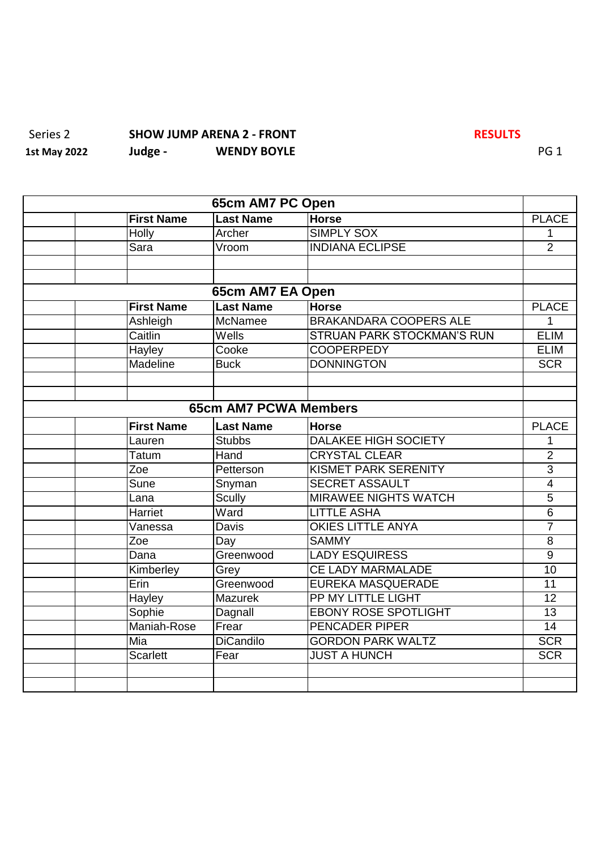## Series 2 **SHOW JUMP ARENA 2 - FRONT**<br>
1st May 2022 Judge - **WENDY BOYLE 1st May 2022 Judge - WENDY BOYLE** PG 1

|                   | 65cm AM7 PC Open             |                                   |                 |
|-------------------|------------------------------|-----------------------------------|-----------------|
| <b>First Name</b> | <b>Last Name</b>             | <b>Horse</b>                      | <b>PLACE</b>    |
| Holly             | Archer                       | <b>SIMPLY SOX</b>                 | 1               |
| Sara              | Vroom                        | <b>INDIANA ECLIPSE</b>            | $\overline{2}$  |
|                   |                              |                                   |                 |
|                   |                              |                                   |                 |
|                   | 65cm AM7 EA Open             |                                   |                 |
| <b>First Name</b> | <b>Last Name</b>             | <b>Horse</b>                      | <b>PLACE</b>    |
| Ashleigh          | <b>McNamee</b>               | <b>BRAKANDARA COOPERS ALE</b>     | 1               |
| Caitlin           | Wells                        | <b>STRUAN PARK STOCKMAN'S RUN</b> | <b>ELIM</b>     |
| Hayley            | Cooke                        | <b>COOPERPEDY</b>                 | <b>ELIM</b>     |
| Madeline          | <b>Buck</b>                  | <b>DONNINGTON</b>                 | <b>SCR</b>      |
|                   |                              |                                   |                 |
|                   |                              |                                   |                 |
|                   | <b>65cm AM7 PCWA Members</b> |                                   |                 |
| <b>First Name</b> | <b>Last Name</b>             | <b>Horse</b>                      | <b>PLACE</b>    |
| Lauren            | <b>Stubbs</b>                | <b>DALAKEE HIGH SOCIETY</b>       | 1               |
| Tatum             | Hand                         | <b>CRYSTAL CLEAR</b>              | $\overline{2}$  |
| Zoe               | Petterson                    | <b>KISMET PARK SERENITY</b>       | $\overline{3}$  |
| <b>Sune</b>       | Snyman                       | <b>SECRET ASSAULT</b>             | $\overline{4}$  |
| Lana              | <b>Scully</b>                | <b>MIRAWEE NIGHTS WATCH</b>       | $\overline{5}$  |
| Harriet           | Ward                         | <b>LITTLE ASHA</b>                | $\overline{6}$  |
| Vanessa           | <b>Davis</b>                 | <b>OKIES LITTLE ANYA</b>          | $\overline{7}$  |
| Zoe               | Day                          | <b>SAMMY</b>                      | $\overline{8}$  |
| Dana              | Greenwood                    | <b>LADY ESQUIRESS</b>             | $\overline{9}$  |
| Kimberley         | Grey                         | <b>CE LADY MARMALADE</b>          | 10              |
| Erin              | Greenwood                    | <b>EUREKA MASQUERADE</b>          | 11              |
| Hayley            | Mazurek                      | <b>PP MY LITTLE LIGHT</b>         | 12              |
| Sophie            | Dagnall                      | <b>EBONY ROSE SPOTLIGHT</b>       | 13              |
| Maniah-Rose       | Frear                        | <b>PENCADER PIPER</b>             | $\overline{14}$ |
| Mia               | <b>DiCandilo</b>             | <b>GORDON PARK WALTZ</b>          | <b>SCR</b>      |
| <b>Scarlett</b>   | Fear                         | <b>JUST A HUNCH</b>               | <b>SCR</b>      |
|                   |                              |                                   |                 |
|                   |                              |                                   |                 |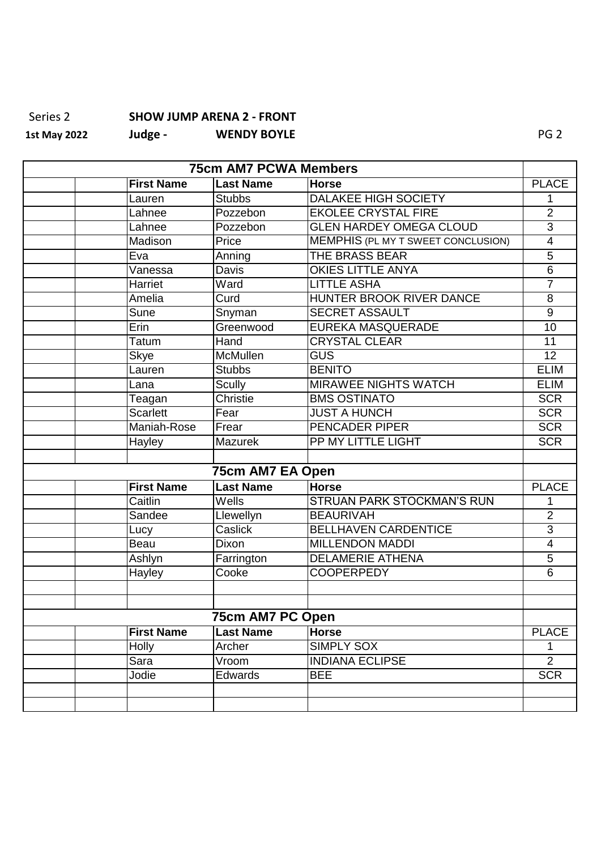## Series 2 **SHOW JUMP ARENA 2 - FRONT**<br>1st May 2022 Judge - WENDY BOYLE **1st May 2022 1st May 2022 1st May 2022 1st May 2022 1st May 2022 1st May 2022**

| <b>75cm AM7 PCWA Members</b> |                   |                  |                                           |                 |
|------------------------------|-------------------|------------------|-------------------------------------------|-----------------|
|                              | <b>First Name</b> | <b>Last Name</b> | <b>Horse</b>                              | <b>PLACE</b>    |
|                              | Lauren            | <b>Stubbs</b>    | <b>DALAKEE HIGH SOCIETY</b>               | 1               |
|                              | Lahnee            | Pozzebon         | <b>EKOLEE CRYSTAL FIRE</b>                | $\overline{2}$  |
|                              | Lahnee            | Pozzebon         | <b>GLEN HARDEY OMEGA CLOUD</b>            | $\overline{3}$  |
|                              | Madison           | Price            | <b>MEMPHIS (PL MY T SWEET CONCLUSION)</b> | $\overline{4}$  |
|                              | Eva               | Anning           | <b>THE BRASS BEAR</b>                     | $\overline{5}$  |
|                              | Vanessa           | Davis            | <b>OKIES LITTLE ANYA</b>                  | $\overline{6}$  |
|                              | Harriet           | Ward             | <b>LITTLE ASHA</b>                        | 7               |
|                              | Amelia            | Curd             | <b>HUNTER BROOK RIVER DANCE</b>           | $\overline{8}$  |
|                              | Sune              | Snyman           | <b>SECRET ASSAULT</b>                     | 9               |
|                              | Erin              | Greenwood        | <b>EUREKA MASQUERADE</b>                  | $\overline{10}$ |
|                              | Tatum             | Hand             | <b>CRYSTAL CLEAR</b>                      | 11              |
|                              | <b>Skye</b>       | McMullen         | <b>GUS</b>                                | $\overline{12}$ |
|                              | Lauren            | <b>Stubbs</b>    | <b>BENITO</b>                             | <b>ELIM</b>     |
|                              | Lana              | <b>Scully</b>    | <b>MIRAWEE NIGHTS WATCH</b>               | <b>ELIM</b>     |
|                              | Teagan            | <b>Christie</b>  | <b>BMS OSTINATO</b>                       | <b>SCR</b>      |
|                              | <b>Scarlett</b>   | Fear             | <b>JUST A HUNCH</b>                       | <b>SCR</b>      |
|                              | Maniah-Rose       | Frear            | <b>PENCADER PIPER</b>                     | <b>SCR</b>      |
|                              | Hayley            | <b>Mazurek</b>   | PP MY LITTLE LIGHT                        | <b>SCR</b>      |
|                              |                   |                  |                                           |                 |
|                              |                   | 75cm AM7 EA Open |                                           |                 |
|                              | <b>First Name</b> | <b>Last Name</b> | <b>Horse</b>                              | <b>PLACE</b>    |
|                              | Caitlin           | Wells            | <b>STRUAN PARK STOCKMAN'S RUN</b>         | 1               |
|                              | Sandee            | Llewellyn        | <b>BEAURIVAH</b>                          | $\overline{2}$  |
|                              | Lucy              | Caslick          | <b>BELLHAVEN CARDENTICE</b>               | $\overline{3}$  |
|                              | Beau              | Dixon            | <b>MILLENDON MADDI</b>                    | $\overline{4}$  |
|                              | Ashlyn            | Farrington       | <b>DELAMERIE ATHENA</b>                   | $\overline{5}$  |
|                              | Hayley            | Cooke            | <b>COOPERPEDY</b>                         | $\overline{6}$  |
|                              |                   |                  |                                           |                 |
|                              |                   |                  |                                           |                 |
|                              |                   | 75cm AM7 PC Open |                                           |                 |
|                              | <b>First Name</b> | <b>Last Name</b> | <b>Horse</b>                              | <b>PLACE</b>    |
|                              | Holly             | Archer           | <b>SIMPLY SOX</b>                         | $\mathbf 1$     |
|                              | Sara              | Vroom            | <b>INDIANA ECLIPSE</b>                    | $\overline{2}$  |
|                              | Jodie             | Edwards          | <b>BEE</b>                                | <b>SCR</b>      |
|                              |                   |                  |                                           |                 |
|                              |                   |                  |                                           |                 |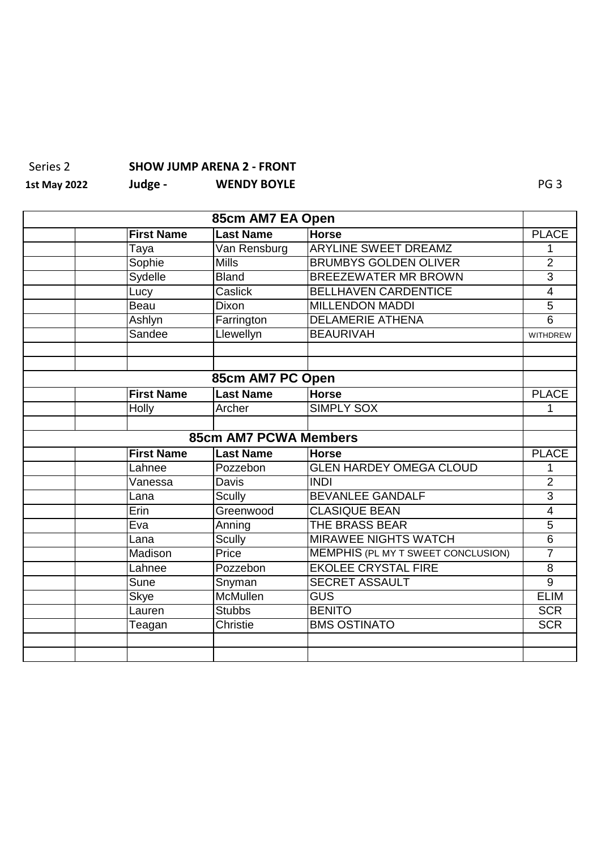## Series 2 **SHOW JUMP ARENA 2 - FRONT**

**1st May 2022 Judge - WENDY BOYLE** PG 3

| 85cm AM7 EA Open |                   |                              |                                           |                 |
|------------------|-------------------|------------------------------|-------------------------------------------|-----------------|
|                  | <b>First Name</b> | <b>Last Name</b>             | <b>Horse</b>                              | <b>PLACE</b>    |
|                  | Taya              | Van Rensburg                 | <b>ARYLINE SWEET DREAMZ</b>               | 1               |
|                  | Sophie            | <b>Mills</b>                 | <b>BRUMBYS GOLDEN OLIVER</b>              | $\overline{2}$  |
|                  | Sydelle           | <b>Bland</b>                 | <b>BREEZEWATER MR BROWN</b>               | $\overline{3}$  |
|                  | Lucy              | Caslick                      | <b>BELLHAVEN CARDENTICE</b>               | $\overline{4}$  |
|                  | Beau              | Dixon                        | <b>MILLENDON MADDI</b>                    | $\overline{5}$  |
|                  | Ashlyn            | Farrington                   | <b>DELAMERIE ATHENA</b>                   | $\overline{6}$  |
|                  | Sandee            | Llewellyn                    | <b>BEAURIVAH</b>                          | <b>WITHDREW</b> |
|                  |                   |                              |                                           |                 |
|                  |                   |                              |                                           |                 |
|                  |                   | 85cm AM7 PC Open             |                                           |                 |
|                  | <b>First Name</b> | <b>Last Name</b>             | <b>Horse</b>                              | <b>PLACE</b>    |
|                  | Holly             | Archer                       | <b>SIMPLY SOX</b>                         | 1               |
|                  |                   |                              |                                           |                 |
|                  |                   | <b>85cm AM7 PCWA Members</b> |                                           |                 |
|                  | <b>First Name</b> | <b>Last Name</b>             | <b>Horse</b>                              | <b>PLACE</b>    |
|                  | Lahnee            | Pozzebon                     | <b>GLEN HARDEY OMEGA CLOUD</b>            | 1               |
|                  | Vanessa           | Davis                        | <b>INDI</b>                               | $\overline{2}$  |
|                  | Lana              | <b>Scully</b>                | <b>BEVANLEE GANDALF</b>                   | $\overline{3}$  |
|                  | Erin              | Greenwood                    | <b>CLASIQUE BEAN</b>                      | 4               |
|                  | Eva               | Anning                       | <b>THE BRASS BEAR</b>                     | $\overline{5}$  |
|                  | Lana              | <b>Scully</b>                | <b>MIRAWEE NIGHTS WATCH</b>               | $\overline{6}$  |
|                  | Madison           | Price                        | <b>MEMPHIS (PL MY T SWEET CONCLUSION)</b> | $\overline{7}$  |
|                  | Lahnee            | Pozzebon                     | <b>EKOLEE CRYSTAL FIRE</b>                | $\overline{8}$  |
|                  | <b>Sune</b>       | Snyman                       | <b>SECRET ASSAULT</b>                     | $\overline{9}$  |
|                  | <b>Skye</b>       | <b>McMullen</b>              | GUS                                       | <b>ELIM</b>     |
|                  | Lauren            | <b>Stubbs</b>                | <b>BENITO</b>                             | <b>SCR</b>      |
|                  | Teagan            | <b>Christie</b>              | <b>BMS OSTINATO</b>                       | <b>SCR</b>      |
|                  |                   |                              |                                           |                 |
|                  |                   |                              |                                           |                 |